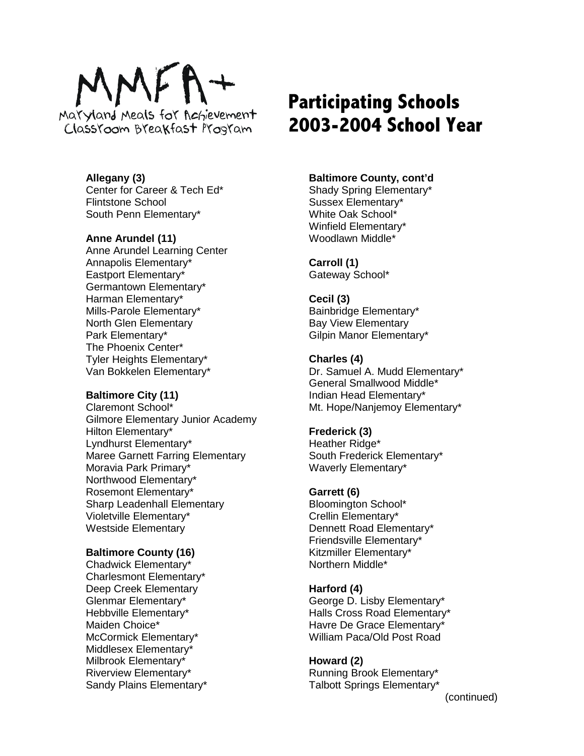

**Allegany (3)** Center for Career & Tech Ed\* Flintstone School South Penn Elementary\*

## **Anne Arundel (11)**

Anne Arundel Learning Center Annapolis Elementary\* Eastport Elementary\* Germantown Elementary\* Harman Elementary\* Mills-Parole Elementary\* North Glen Elementary Park Elementary\* The Phoenix Center\* Tyler Heights Elementary\* Van Bokkelen Elementary\*

#### **Baltimore City (11)**

Claremont School\* Gilmore Elementary Junior Academy Hilton Elementary\* Lyndhurst Elementary\* Maree Garnett Farring Elementary Moravia Park Primary\* Northwood Elementary\* Rosemont Elementary\* Sharp Leadenhall Elementary Violetville Elementary\* Westside Elementary

#### **Baltimore County (16)**

Chadwick Elementary\* Charlesmont Elementary\* Deep Creek Elementary Glenmar Elementary\* Hebbville Elementary\* Maiden Choice\* McCormick Elementary\* Middlesex Elementary\* Milbrook Elementary\* Riverview Elementary\* Sandy Plains Elementary\*

# **Participating Schools 2003-2004 School Year**

#### **Baltimore County, cont'd**

Shady Spring Elementary\* Sussex Elementary\* White Oak School\* Winfield Elementary\* Woodlawn Middle\*

#### **Carroll (1)** Gateway School\*

## **Cecil (3)**

Bainbridge Elementary\* Bay View Elementary Gilpin Manor Elementary\*

#### **Charles (4)**

Dr. Samuel A. Mudd Elementary\* General Smallwood Middle\* Indian Head Elementary\* Mt. Hope/Nanjemoy Elementary\*

## **Frederick (3)**

Heather Ridge\* South Frederick Elementary\* Waverly Elementary\*

## **Garrett (6)**

Bloomington School\* Crellin Elementary\* Dennett Road Elementary\* Friendsville Elementary\* Kitzmiller Elementary\* Northern Middle\*

## **Harford (4)**

George D. Lisby Elementary\* Halls Cross Road Elementary\* Havre De Grace Elementary\* William Paca/Old Post Road

# **Howard (2)**

Running Brook Elementary\* Talbott Springs Elementary\*

(continued)